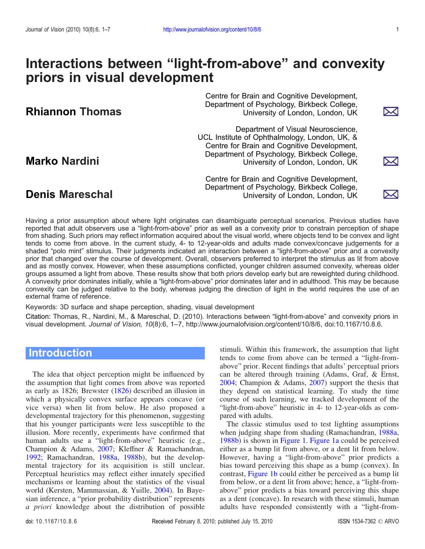▷⊲

M

⋋⋌∣

# Interactions between "light-from-above" and convexity priors in visual development

Centre for Brain and Cognitive Development, Department of Psychology, Birkbeck College, Rhiannon Thomas **Expansion Congressity of London, London, UK** 

Department of Visual Neuroscience, UCL Institute of Ophthalmology, London, UK, & Centre for Brain and Cognitive Development, Department of Psychology, Birkbeck College, Marko Nardini **University of London, London, UK** 

Centre for Brain and Cognitive Development, Department of Psychology, Birkbeck College, Denis Mareschal University of London, London, UK

Having a prior assumption about where light originates can disambiguate perceptual scenarios. Previous studies have reported that adult observers use a "light-from-above" prior as well as a convexity prior to constrain perception of shape from shading. Such priors may reflect information acquired about the visual world, where objects tend to be convex and light tends to come from above. In the current study, 4- to 12-year-olds and adults made convex/concave judgements for a shaded "polo mint" stimulus. Their judgments indicated an interaction between a "light-from-above" prior and a convexity prior that changed over the course of development. Overall, observers preferred to interpret the stimulus as lit from above and as mostly convex. However, when these assumptions conflicted, younger children assumed convexity, whereas older groups assumed a light from above. These results show that both priors develop early but are reweighted during childhood. A convexity prior dominates initially, while a "light-from-above" prior dominates later and in adulthood. This may be because convexity can be judged relative to the body, whereas judging the direction of light in the world requires the use of an external frame of reference.

Keywords: 3D surface and shape perception, shading, visual development

Citation: Thomas, R., Nardini, M., & Mareschal, D. (2010). Interactions between "light-from-above" and convexity priors in visual development. Journal of Vision, 10(8):6, 1–7, http://www.journalofvision.org/content/10/8/6, doi:10.1167/10.8.6.

# **Introduction**

The idea that object perception might be influenced by the assumption that light comes from above was reported as early as 1826; Brewster ([1826\)](#page-6-0) described an illusion in which a physically convex surface appears concave (or vice versa) when lit from below. He also proposed a developmental trajectory for this phenomenon, suggesting that his younger participants were less susceptible to the illusion. More recently, experiments have confirmed that human adults use a "light-from-above" heuristic (e.g., Champion & Adams, [2007;](#page-6-0) Kleffner & Ramachandran, [1992;](#page-6-0) Ramachandran, [1988a](#page-6-0), [1988b](#page-6-0)), but the developmental trajectory for its acquisition is still unclear. Perceptual heuristics may reflect either innately specified mechanisms or learning about the statistics of the visual world (Kersten, Mammassian, & Yuille, [2004](#page-6-0)). In Bayesian inference, a "prior probability distribution" represents a priori knowledge about the distribution of possible

stimuli. Within this framework, the assumption that light tends to come from above can be termed a "light-fromabove" prior. Recent findings that adults' perceptual priors can be altered through training (Adams, Graf, & Ernst, [2004;](#page-6-0) Champion & Adams, [2007\)](#page-6-0) support the thesis that they depend on statistical learning. To study the time course of such learning, we tracked development of the "light-from-above" heuristic in 4- to 12-year-olds as compared with adults.

The classic stimulus used to test lighting assumptions when judging shape from shading (Ramachandran, [1988a](#page-6-0), [1988b](#page-6-0)) is shown in [Figure 1.](#page-1-0) [Figure 1a](#page-1-0) could be perceived either as a bump lit from above, or a dent lit from below. However, having a "light-from-above" prior predicts a bias toward perceiving this shape as a bump (convex). In contrast, [Figure 1b](#page-1-0) could either be perceived as a bump lit from below, or a dent lit from above; hence, a "light-fromabove" prior predicts a bias toward perceiving this shape as a dent (concave). In research with these stimuli, human adults have responded consistently with a "light-from-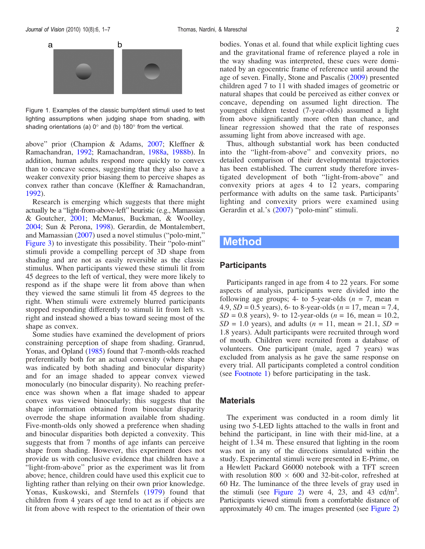<span id="page-1-0"></span>

Figure 1. Examples of the classic bump/dent stimuli used to test lighting assumptions when judging shape from shading, with shading orientations (a)  $0^\circ$  and (b) 180 $^\circ$  from the vertical.

above" prior (Champion & Adams, [2007](#page-6-0); Kleffner & Ramachandran, [1992](#page-6-0); Ramachandran, [1988a](#page-6-0), [1988b](#page-6-0)). In addition, human adults respond more quickly to convex than to concave scenes, suggesting that they also have a weaker convexity prior biasing them to perceive shapes as convex rather than concave (Kleffner & Ramachandran, [1992\)](#page-6-0).

Research is emerging which suggests that there might actually be a "light-from-above-left" heuristic (e.g., Mamassian & Goutcher, [2001](#page-6-0); McManus, Buckman, & Woolley, [2004;](#page-6-0) Sun & Perona, [1998](#page-6-0)). Gerardin, de Montalembert, and Mamassian [\(2007](#page-6-0)) used a novel stimulus ("polo-mint," [Figure 3](#page-3-0)) to investigate this possibility. Their "polo-mint" stimuli provide a compelling percept of 3D shape from shading and are not as easily reversible as the classic stimulus. When participants viewed these stimuli lit from 45 degrees to the left of vertical, they were more likely to respond as if the shape were lit from above than when they viewed the same stimuli lit from 45 degrees to the right. When stimuli were extremely blurred participants stopped responding differently to stimuli lit from left vs. right and instead showed a bias toward seeing most of the shape as convex.

Some studies have examined the development of priors constraining perception of shape from shading. Granrud, Yonas, and Opland [\(1985\)](#page-6-0) found that 7-month-olds reached preferentially both for an actual convexity (where shape was indicated by both shading and binocular disparity) and for an image shaded to appear convex viewed monocularly (no binocular disparity). No reaching preference was shown when a flat image shaded to appear convex was viewed binocularly; this suggests that the shape information obtained from binocular disparity overrode the shape information available from shading. Five-month-olds only showed a preference when shading and binocular disparities both depicted a convexity. This suggests that from 7 months of age infants can perceive shape from shading. However, this experiment does not provide us with conclusive evidence that children have a "light-from-above" prior as the experiment was lit from above; hence, children could have used this explicit cue to lighting rather than relying on their own prior knowledge. Yonas, Kuskowski, and Sternfels [\(1979\)](#page-6-0) found that children from 4 years of age tend to act as if objects are lit from above with respect to the orientation of their own bodies. Yonas et al. found that while explicit lighting cues and the gravitational frame of reference played a role in the way shading was interpreted, these cues were dominated by an egocentric frame of reference until around the age of seven. Finally, Stone and Pascalis [\(2009](#page-6-0)) presented children aged 7 to 11 with shaded images of geometric or natural shapes that could be perceived as either convex or concave, depending on assumed light direction. The youngest children tested (7-year-olds) assumed a light from above significantly more often than chance, and linear regression showed that the rate of responses assuming light from above increased with age.

Thus, although substantial work has been conducted into the "light-from-above" and convexity priors, no detailed comparison of their developmental trajectories has been established. The current study therefore investigated development of both "light-from-above" and convexity priors at ages 4 to 12 years, comparing performance with adults on the same task. Participants' lighting and convexity priors were examined using Gerardin et al.'s ([2007\)](#page-6-0) "polo-mint" stimuli.

## Method

#### **Participants**

Participants ranged in age from 4 to 22 years. For some aspects of analysis, participants were divided into the following age groups; 4- to 5-year-olds ( $n = 7$ , mean = 4.9,  $SD = 0.5$  years), 6- to 8-year-olds ( $n = 17$ , mean = 7.4,  $SD = 0.8$  years), 9- to 12-year-olds (*n* = 16, mean = 10.2,  $SD = 1.0$  years), and adults ( $n = 11$ , mean = 21.1,  $SD =$ 1.8 years). Adult participants were recruited through word of mouth. Children were recruited from a database of volunteers. One participant (male, aged 7 years) was excluded from analysis as he gave the same response on every trial. All participants completed a control condition (see [Footnote 1](#page-5-0)) before participating in the task.

#### **Materials**

The experiment was conducted in a room dimly lit using two 5-LED lights attached to the walls in front and behind the participant, in line with their mid-line, at a height of 1.34 m. These ensured that lighting in the room was not in any of the directions simulated within the study. Experimental stimuli were presented in E-Prime, on a Hewlett Packard G6000 notebook with a TFT screen with resolution  $800 \times 600$  and 32-bit-color, refreshed at 60 Hz. The luminance of the three levels of gray used in the stimuli (see [Figure 2\)](#page-2-0) were 4, 23, and 43 cd/m<sup>2</sup>. Participants viewed stimuli from a comfortable distance of approximately 40 cm. The images presented (see [Figure 2](#page-2-0))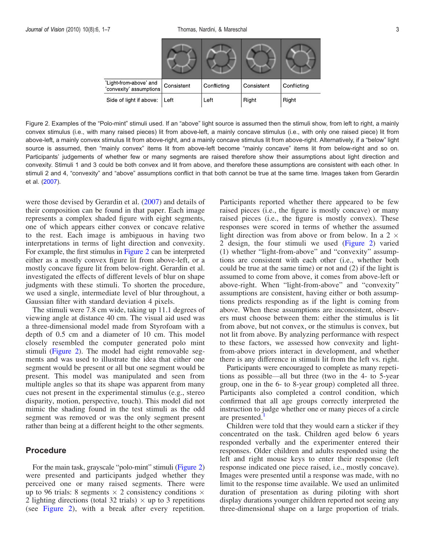<span id="page-2-0"></span>

| 'Light-from-above' and<br>'convexity' assumptions | Consistent | Conflicting | Consistent | Conflicting |
|---------------------------------------------------|------------|-------------|------------|-------------|
| Side of light if above:                           | Left       | Left        | Right      | Right       |

Figure 2. Examples of the "Polo-mint" stimuli used. If an "above" light source is assumed then the stimuli show, from left to right, a mainly convex stimulus (i.e., with many raised pieces) lit from above-left, a mainly concave stimulus (i.e., with only one raised piece) lit from above-left, a mainly convex stimulus lit from above-right, and a mainly concave stimulus lit from above-right. Alternatively, if a "below" light source is assumed, then "mainly convex" items lit from above-left become "mainly concave" items lit from below-right and so on. Participants' judgements of whether few or many segments are raised therefore show their assumptions about light direction and convexity. Stimuli 1 and 3 could be both convex and lit from above, and therefore these assumptions are consistent with each other. In stimuli 2 and 4, "convexity" and "above" assumptions conflict in that both cannot be true at the same time. Images taken from Gerardin et al. ([2007](#page-6-0)).

were those devised by Gerardin et al. [\(2007](#page-6-0)) and details of their composition can be found in that paper. Each image represents a complex shaded figure with eight segments, one of which appears either convex or concave relative to the rest. Each image is ambiguous in having two interpretations in terms of light direction and convexity. For example, the first stimulus in Figure 2 can be interpreted either as a mostly convex figure lit from above-left, or a mostly concave figure lit from below-right. Gerardin et al. investigated the effects of different levels of blur on shape judgments with these stimuli. To shorten the procedure, we used a single, intermediate level of blur throughout, a Gaussian filter with standard deviation 4 pixels.

The stimuli were 7.8 cm wide, taking up 11.1 degrees of viewing angle at distance 40 cm. The visual aid used was a three-dimensional model made from Styrofoam with a depth of 0.5 cm and a diameter of 10 cm. This model closely resembled the computer generated polo mint stimuli (Figure 2). The model had eight removable segments and was used to illustrate the idea that either one segment would be present or all but one segment would be present. This model was manipulated and seen from multiple angles so that its shape was apparent from many cues not present in the experimental stimulus (e.g., stereo disparity, motion, perspective, touch). This model did not mimic the shading found in the test stimuli as the odd segment was removed or was the only segment present rather than being at a different height to the other segments.

#### Procedure

For the main task, grayscale "polo-mint" stimuli (Figure 2) were presented and participants judged whether they perceived one or many raised segments. There were up to 96 trials: 8 segments  $\times$  2 consistency conditions  $\times$ 2 lighting directions (total 32 trials)  $\times$  up to 3 repetitions (see Figure 2), with a break after every repetition. Participants reported whether there appeared to be few raised pieces (i.e., the figure is mostly concave) or many raised pieces (i.e., the figure is mostly convex). These responses were scored in terms of whether the assumed light direction was from above or from below. In a 2  $\times$ 2 design, the four stimuli we used (Figure 2) varied (1) whether "light-from-above" and "convexity" assumptions are consistent with each other (i.e., whether both could be true at the same time) or not and (2) if the light is assumed to come from above, it comes from above-left or above-right. When "light-from-above" and "convexity" assumptions are consistent, having either or both assumptions predicts responding as if the light is coming from above. When these assumptions are inconsistent, observers must choose between them: either the stimulus is lit from above, but not convex, or the stimulus is convex, but not lit from above. By analyzing performance with respect to these factors, we assessed how convexity and lightfrom-above priors interact in development, and whether there is any difference in stimuli lit from the left vs. right.

Participants were encouraged to complete as many repetitions as possible—all but three (two in the 4- to 5-year group, one in the 6- to 8-year group) completed all three. Participants also completed a control condition, which confirmed that all age groups correctly interpreted the instruction to judge whether one or many pieces of a circle are presented.<sup>[1](#page-5-0)</sup>

Children were told that they would earn a sticker if they concentrated on the task. Children aged below 6 years responded verbally and the experimenter entered their responses. Older children and adults responded using the left and right mouse keys to enter their response (left response indicated one piece raised, i.e., mostly concave). Images were presented until a response was made, with no limit to the response time available. We used an unlimited duration of presentation as during piloting with short display durations younger children reported not seeing any three-dimensional shape on a large proportion of trials.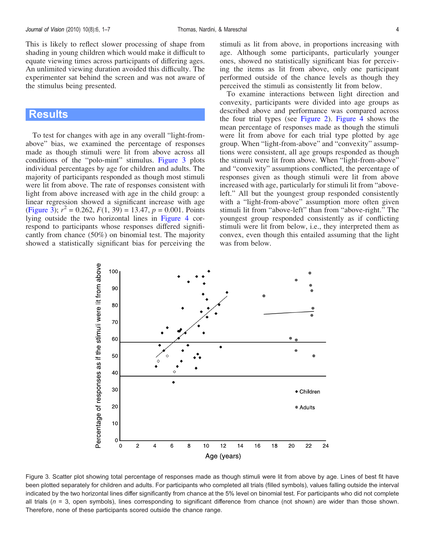<span id="page-3-0"></span>This is likely to reflect slower processing of shape from shading in young children which would make it difficult to equate viewing times across participants of differing ages. An unlimited viewing duration avoided this difficulty. The experimenter sat behind the screen and was not aware of the stimulus being presented.

# **Results**

To test for changes with age in any overall "light-fromabove" bias, we examined the percentage of responses made as though stimuli were lit from above across all conditions of the "polo-mint" stimulus. Figure 3 plots individual percentages by age for children and adults. The majority of participants responded as though most stimuli were lit from above. The rate of responses consistent with light from above increased with age in the child group: a linear regression showed a significant increase with age (Figure 3);  $r^2 = 0.262$ ,  $F(1, 39) = 13.47$ ,  $p = 0.001$ . Points lying outside the two horizontal lines in [Figure 4](#page-4-0) correspond to participants whose responses differed significantly from chance (50%) on binomial test. The majority showed a statistically significant bias for perceiving the

stimuli as lit from above, in proportions increasing with age. Although some participants, particularly younger ones, showed no statistically significant bias for perceiving the items as lit from above, only one participant performed outside of the chance levels as though they perceived the stimuli as consistently lit from below.

To examine interactions between light direction and convexity, participants were divided into age groups as described above and performance was compared across the four trial types (see [Figure 2\)](#page-2-0). [Figure 4](#page-4-0) shows the mean percentage of responses made as though the stimuli were lit from above for each trial type plotted by age group. When "light-from-above" and "convexity" assumptions were consistent, all age groups responded as though the stimuli were lit from above. When "light-from-above" and "convexity" assumptions conflicted, the percentage of responses given as though stimuli were lit from above increased with age, particularly for stimuli lit from "aboveleft." All but the youngest group responded consistently with a "light-from-above" assumption more often given stimuli lit from "above-left" than from "above-right." The youngest group responded consistently as if conflicting stimuli were lit from below, i.e., they interpreted them as convex, even though this entailed assuming that the light was from below.



Figure 3. Scatter plot showing total percentage of responses made as though stimuli were lit from above by age. Lines of best fit have been plotted separately for children and adults. For participants who completed all trials (filled symbols), values falling outside the interval indicated by the two horizontal lines differ significantly from chance at the 5% level on binomial test. For participants who did not complete all trials ( $n = 3$ , open symbols), lines corresponding to significant difference from chance (not shown) are wider than those shown. Therefore, none of these participants scored outside the chance range.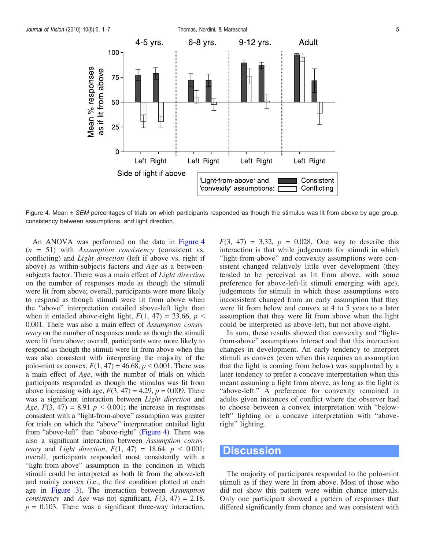<span id="page-4-0"></span>

Figure 4. Mean  $\pm$  SEM percentages of trials on which participants responded as though the stimulus was lit from above by age group, consistency between assumptions, and light direction.

An ANOVA was performed on the data in Figure 4  $(n = 51)$  with Assumption consistency (consistent vs. conflicting) and Light direction (left if above vs. right if above) as within-subjects factors and Age as a betweensubjects factor. There was a main effect of *Light direction* on the number of responses made as though the stimuli were lit from above; overall, participants were more likely to respond as though stimuli were lit from above when the "above" interpretation entailed above-left light than when it entailed above-right light,  $F(1, 47) = 23.66$ ,  $p \leq$ 0.001. There was also a main effect of Assumption consistency on the number of responses made as though the stimuli were lit from above; overall, participants were more likely to respond as though the stimuli were lit from above when this was also consistent with interpreting the majority of the polo-mint as convex,  $F(1, 47) = 46.68$ ,  $p < 0.001$ . There was a main effect of Age, with the number of trials on which participants responded as though the stimulus was lit from above increasing with age,  $F(3, 47) = 4.29$ ,  $p = 0.009$ . There was a significant interaction between Light direction and Age,  $F(3, 47) = 8.91$   $p < 0.001$ ; the increase in responses consistent with a "light-from-above" assumption was greater for trials on which the "above" interpretation entailed light from "above-left" than "above-right" (Figure 4). There was also a significant interaction between Assumption consistency and *Light direction*,  $F(1, 47) = 18.64$ ,  $p < 0.001$ ; overall, participants responded most consistently with a "light-from-above" assumption in the condition in which stimuli could be interpreted as both lit from the above-left and mainly convex (i.e., the first condition plotted at each age in [Figure 3\)](#page-3-0). The interaction between Assumption *consistency* and *Age* was not significant,  $F(3, 47) = 2.18$ ,  $p = 0.103$ . There was a significant three-way interaction,

 $F(3, 47) = 3.32, p = 0.028$ . One way to describe this interaction is that while judgements for stimuli in which "light-from-above" and convexity assumptions were consistent changed relatively little over development (they tended to be perceived as lit from above, with some preference for above-left-lit stimuli emerging with age), judgements for stimuli in which these assumptions were inconsistent changed from an early assumption that they were lit from below and convex at 4 to 5 years to a later assumption that they were lit from above when the light could be interpreted as above-left, but not above-right.

In sum, these results showed that convexity and "lightfrom-above" assumptions interact and that this interaction changes in development. An early tendency to interpret stimuli as convex (even when this requires an assumption that the light is coming from below) was supplanted by a later tendency to prefer a concave interpretation when this meant assuming a light from above, as long as the light is "above-left." A preference for convexity remained in adults given instances of conflict where the observer had to choose between a convex interpretation with "belowleft" lighting or a concave interpretation with "aboveright" lighting.

### **Discussion**

The majority of participants responded to the polo-mint stimuli as if they were lit from above. Most of those who did not show this pattern were within chance intervals. Only one participant showed a pattern of responses that differed significantly from chance and was consistent with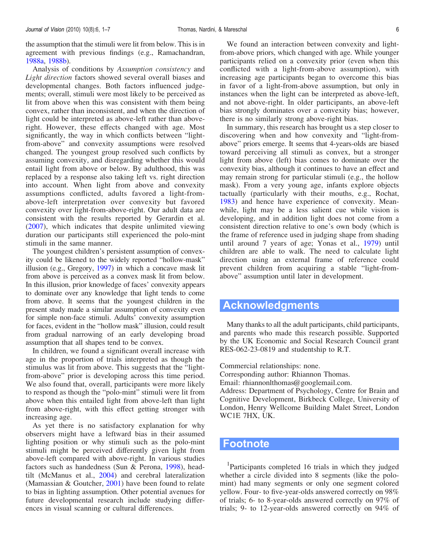<span id="page-5-0"></span>the assumption that the stimuli were lit from below. This is in agreement with previous findings (e.g., Ramachandran, [1988a](#page-6-0), [1988b\)](#page-6-0).

Analysis of conditions by Assumption consistency and Light direction factors showed several overall biases and developmental changes. Both factors influenced judgements; overall, stimuli were most likely to be perceived as lit from above when this was consistent with them being convex, rather than inconsistent, and when the direction of light could be interpreted as above-left rather than aboveright. However, these effects changed with age. Most significantly, the way in which conflicts between "lightfrom-above" and convexity assumptions were resolved changed. The youngest group resolved such conflicts by assuming convexity, and disregarding whether this would entail light from above or below. By adulthood, this was replaced by a response also taking left vs. right direction into account. When light from above and convexity assumptions conflicted, adults favored a light-fromabove-left interpretation over convexity but favored convexity over light-from-above-right. Our adult data are consistent with the results reported by Gerardin et al. ([2007\)](#page-6-0), which indicates that despite unlimited viewing duration our participants still experienced the polo-mint stimuli in the same manner.

The youngest children's persistent assumption of convexity could be likened to the widely reported "hollow-mask" illusion (e.g., Gregory, [1997](#page-6-0)) in which a concave mask lit from above is perceived as a convex mask lit from below. In this illusion, prior knowledge of faces' convexity appears to dominate over any knowledge that light tends to come from above. It seems that the youngest children in the present study made a similar assumption of convexity even for simple non-face stimuli. Adults' convexity assumption for faces, evident in the "hollow mask" illusion, could result from gradual narrowing of an early developing broad assumption that all shapes tend to be convex.

In children, we found a significant overall increase with age in the proportion of trials interpreted as though the stimulus was lit from above. This suggests that the "lightfrom-above" prior is developing across this time period. We also found that, overall, participants were more likely to respond as though the "polo-mint" stimuli were lit from above when this entailed light from above-left than light from above-right, with this effect getting stronger with increasing age.

As yet there is no satisfactory explanation for why observers might have a leftward bias in their assumed lighting position or why stimuli such as the polo-mint stimuli might be perceived differently given light from above-left compared with above-right. In various studies factors such as handedness (Sun & Perona, [1998](#page-6-0)), headtilt (McManus et al., [2004\)](#page-6-0) and cerebral lateralization (Mamassian & Goutcher, [2001\)](#page-6-0) have been found to relate to bias in lighting assumption. Other potential avenues for future developmental research include studying differences in visual scanning or cultural differences.

We found an interaction between convexity and lightfrom-above priors, which changed with age. While younger participants relied on a convexity prior (even when this conflicted with a light-from-above assumption), with increasing age participants began to overcome this bias in favor of a light-from-above assumption, but only in instances when the light can be interpreted as above-left, and not above-right. In older participants, an above-left bias strongly dominates over a convexity bias; however, there is no similarly strong above-right bias.

In summary, this research has brought us a step closer to discovering when and how convexity and "light-fromabove" priors emerge. It seems that 4-years-olds are biased toward perceiving all stimuli as convex, but a stronger light from above (left) bias comes to dominate over the convexity bias, although it continues to have an effect and may remain strong for particular stimuli (e.g., the hollow mask). From a very young age, infants explore objects tactually (particularly with their mouths, e.g., Rochat, [1983\)](#page-6-0) and hence have experience of convexity. Meanwhile, light may be a less salient cue while vision is developing, and in addition light does not come from a consistent direction relative to one's own body (which is the frame of reference used in judging shape from shading until around 7 years of age; Yonas et al., [1979](#page-6-0)) until children are able to walk. The need to calculate light direction using an external frame of reference could prevent children from acquiring a stable "light-fromabove" assumption until later in development.

# Acknowledgments

Many thanks to all the adult participants, child participants, and parents who made this research possible. Supported by the UK Economic and Social Research Council grant RES-062-23-0819 and studentship to R.T.

Commercial relationships: none.

Corresponding author: Rhiannon Thomas.

Email: rhiannonlthomas@googlemail.com.

Address: Department of Psychology, Centre for Brain and Cognitive Development, Birkbeck College, University of London, Henry Wellcome Building Malet Street, London WC1E 7HX, UK.

#### Footnote

<sup>1</sup>Participants completed 16 trials in which they judged whether a circle divided into 8 segments (like the polomint) had many segments or only one segment colored yellow. Four- to five-year-olds answered correctly on 98% of trials; 6- to 8-year-olds answered correctly on 97% of trials; 9- to 12-year-olds answered correctly on 94% of